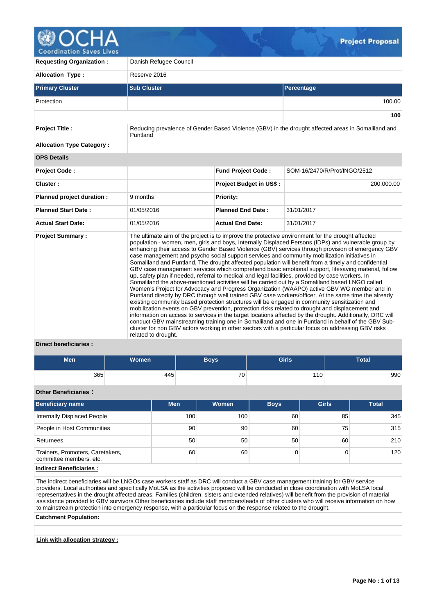

**Coordination Saves Lives** 

| <b>Requesting Organization:</b>                 | Danish Refugee Council |                                |                                                                                                                                                                                                                                                                                                                                                                                                                                                                                                                                                                                                                                                                                                                                                                                                                                                                                                                                                                                                                                                                                                                                                                                                                                                                                                                                                                                                                                                                                                                                                                          |
|-------------------------------------------------|------------------------|--------------------------------|--------------------------------------------------------------------------------------------------------------------------------------------------------------------------------------------------------------------------------------------------------------------------------------------------------------------------------------------------------------------------------------------------------------------------------------------------------------------------------------------------------------------------------------------------------------------------------------------------------------------------------------------------------------------------------------------------------------------------------------------------------------------------------------------------------------------------------------------------------------------------------------------------------------------------------------------------------------------------------------------------------------------------------------------------------------------------------------------------------------------------------------------------------------------------------------------------------------------------------------------------------------------------------------------------------------------------------------------------------------------------------------------------------------------------------------------------------------------------------------------------------------------------------------------------------------------------|
| <b>Allocation Type:</b>                         | Reserve 2016           |                                |                                                                                                                                                                                                                                                                                                                                                                                                                                                                                                                                                                                                                                                                                                                                                                                                                                                                                                                                                                                                                                                                                                                                                                                                                                                                                                                                                                                                                                                                                                                                                                          |
| <b>Primary Cluster</b>                          | <b>Sub Cluster</b>     |                                | Percentage                                                                                                                                                                                                                                                                                                                                                                                                                                                                                                                                                                                                                                                                                                                                                                                                                                                                                                                                                                                                                                                                                                                                                                                                                                                                                                                                                                                                                                                                                                                                                               |
| Protection                                      |                        |                                | 100.00                                                                                                                                                                                                                                                                                                                                                                                                                                                                                                                                                                                                                                                                                                                                                                                                                                                                                                                                                                                                                                                                                                                                                                                                                                                                                                                                                                                                                                                                                                                                                                   |
|                                                 |                        |                                | 100                                                                                                                                                                                                                                                                                                                                                                                                                                                                                                                                                                                                                                                                                                                                                                                                                                                                                                                                                                                                                                                                                                                                                                                                                                                                                                                                                                                                                                                                                                                                                                      |
| <b>Project Title:</b>                           | Puntland               |                                | Reducing prevalence of Gender Based Violence (GBV) in the drought affected areas in Somaliland and                                                                                                                                                                                                                                                                                                                                                                                                                                                                                                                                                                                                                                                                                                                                                                                                                                                                                                                                                                                                                                                                                                                                                                                                                                                                                                                                                                                                                                                                       |
| <b>Allocation Type Category:</b>                |                        |                                |                                                                                                                                                                                                                                                                                                                                                                                                                                                                                                                                                                                                                                                                                                                                                                                                                                                                                                                                                                                                                                                                                                                                                                                                                                                                                                                                                                                                                                                                                                                                                                          |
| <b>OPS Details</b>                              |                        |                                |                                                                                                                                                                                                                                                                                                                                                                                                                                                                                                                                                                                                                                                                                                                                                                                                                                                                                                                                                                                                                                                                                                                                                                                                                                                                                                                                                                                                                                                                                                                                                                          |
| <b>Project Code:</b>                            |                        | <b>Fund Project Code:</b>      | SOM-16/2470/R/Prot/INGO/2512                                                                                                                                                                                                                                                                                                                                                                                                                                                                                                                                                                                                                                                                                                                                                                                                                                                                                                                                                                                                                                                                                                                                                                                                                                                                                                                                                                                                                                                                                                                                             |
| Cluster:                                        |                        | <b>Project Budget in US\$:</b> | 200,000.00                                                                                                                                                                                                                                                                                                                                                                                                                                                                                                                                                                                                                                                                                                                                                                                                                                                                                                                                                                                                                                                                                                                                                                                                                                                                                                                                                                                                                                                                                                                                                               |
| Planned project duration :                      | 9 months               | <b>Priority:</b>               |                                                                                                                                                                                                                                                                                                                                                                                                                                                                                                                                                                                                                                                                                                                                                                                                                                                                                                                                                                                                                                                                                                                                                                                                                                                                                                                                                                                                                                                                                                                                                                          |
| <b>Planned Start Date:</b>                      | 01/05/2016             | <b>Planned End Date:</b>       | 31/01/2017                                                                                                                                                                                                                                                                                                                                                                                                                                                                                                                                                                                                                                                                                                                                                                                                                                                                                                                                                                                                                                                                                                                                                                                                                                                                                                                                                                                                                                                                                                                                                               |
| <b>Actual Start Date:</b>                       | 01/05/2016             | <b>Actual End Date:</b>        | 31/01/2017                                                                                                                                                                                                                                                                                                                                                                                                                                                                                                                                                                                                                                                                                                                                                                                                                                                                                                                                                                                                                                                                                                                                                                                                                                                                                                                                                                                                                                                                                                                                                               |
| <b>Project Summary:</b><br>Diroct honoficiarios | related to drought.    |                                | The ultimate aim of the project is to improve the protective environment for the drought affected<br>population - women, men, girls and boys, Internally Displaced Persons (IDPs) and vulnerable group by<br>enhancing their access to Gender Based Violence (GBV) services through provision of emergency GBV<br>case management and psycho social support services and community mobilization initiatives in<br>Somaliland and Puntland. The drought affected population will benefit from a timely and confidential<br>GBV case management services which comprehend basic emotional support, lifesaving material, follow<br>up, safety plan if needed, referral to medical and legal facilities, provided by case workers. In<br>Somaliland the above-mentioned activities will be carried out by a Somaliland based LNGO called<br>Women's Project for Advocacy and Progress Organization (WAAPO) active GBV WG member and in<br>Puntland directly by DRC through well trained GBV case workers/officer. At the same time the already<br>existing community based protection structures will be engaged in community sensitization and<br>mobilization events on GBV prevention, protection risks related to drought and displacement and<br>information on access to services in the target locations affected by the drought. Additionally, DRC will<br>conduct GBV mainstreaming training one in Somaliland and one in Puntland in behalf of the GBV Sub-<br>cluster for non GBV actors working in other sectors with a particular focus on addressing GBV risks |

## **Direct beneficiaries :**

| <b>Men</b> | <b>Women</b> | <b>Boys</b> | <b>Girls</b> | Total |
|------------|--------------|-------------|--------------|-------|
| 365        | 445          | 70          | 110          | 990   |

# **Other Beneficiaries :**

| <b>Beneficiary name</b>                                     | <b>Men</b>      | <b>Women</b> | <b>Boys</b> | <b>Girls</b> | <b>Total</b> |
|-------------------------------------------------------------|-----------------|--------------|-------------|--------------|--------------|
| Internally Displaced People                                 | 100             | 100          | 60          | 85           | 345          |
| People in Host Communities                                  | 90 <sup>°</sup> | 90           | 60          | 75           | 315          |
| Returnees                                                   | 50              | 50           | 50          | 60           | 210          |
| Trainers, Promoters, Caretakers,<br>committee members, etc. | 60              | 60           |             |              | 120          |

# **Indirect Beneficiaries :**

The indirect beneficiaries will be LNGOs case workers staff as DRC will conduct a GBV case management training for GBV service providers. Local authorities and specifically MoLSA as the activities proposed will be conducted in close coordination with MoLSA local representatives in the drought affected areas. Families (children, sisters and extended relatives) will benefit from the provision of material assistance provided to GBV survivors.Other beneficiaries include staff members/leads of other clusters who will receive information on how to mainstream protection into emergency response, with a particular focus on the response related to the drought.

## **Catchment Population:**

# **Link with allocation strategy :**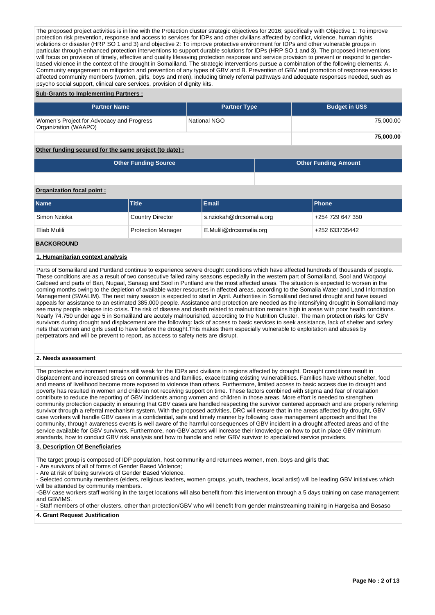The proposed project activities is in line with the Protection cluster strategic objectives for 2016; specifically with Objective 1: To improve protection risk prevention, response and access to services for IDPs and other civilians affected by conflict, violence, human rights violations or disaster (HRP SO 1 and 3) and objective 2: To improve protective environment for IDPs and other vulnerable groups in particular through enhanced protection interventions to support durable solutions for IDPs (HRP SO 1 and 3). The proposed interventions will focus on provision of timely, effective and quality lifesaving protection response and service provision to prevent or respond to genderbased violence in the context of the drought in Somaliland. The strategic interventions pursue a combination of the following elements: A. Community engagement on mitigation and prevention of any types of GBV and B. Prevention of GBV and promotion of response services to affected community members (women, girls, boys and men), including timely referral pathways and adequate responses needed, such as psycho social support, clinical care services, provision of dignity kits.

## **Sub-Grants to Implementing Partners :**

| <b>Partner Name</b>                                               | <b>Partner Type</b> | <b>Budget in US\$</b> |
|-------------------------------------------------------------------|---------------------|-----------------------|
| Women's Project for Advocacy and Progress<br>Organization (WAAPO) | National NGO        | 75.000.00             |
|                                                                   |                     | 75,000.00             |

# **Other funding secured for the same project (to date) :**

| <b>Other Funding Source</b> | <b>Other Funding Amount</b> |
|-----------------------------|-----------------------------|
|                             |                             |

## **Organization focal point :**

| <b>Name</b>  | <b>Title</b>              | <b>Email</b>             | <b>IPhone</b>    |
|--------------|---------------------------|--------------------------|------------------|
| Simon Nzioka | <b>Country Director</b>   | s.nziokah@drcsomalia.org | +254 729 647 350 |
| Eliab Mulili | <b>Protection Manager</b> | E.Mulili@drcsomalia.org  | +252 633735442   |

#### **BACKGROUND**

# **1. Humanitarian context analysis**

Parts of Somaliland and Puntland continue to experience severe drought conditions which have affected hundreds of thousands of people. These conditions are as a result of two consecutive failed rainy seasons especially in the western part of Somaliland, Sool and Woqooyi Galbeed and parts of Bari, Nugaal, Sanaag and Sool in Puntland are the most affected areas. The situation is expected to worsen in the coming months owing to the depletion of available water resources in affected areas, according to the Somalia Water and Land Information Management (SWALIM). The next rainy season is expected to start in April. Authorities in Somaliland declared drought and have issued appeals for assistance to an estimated 385,000 people. Assistance and protection are needed as the intensifying drought in Somaliland may see many people relapse into crisis. The risk of disease and death related to malnutrition remains high in areas with poor health conditions. Nearly 74,750 under age 5 in Somaliland are acutely malnourished, according to the Nutrition Cluster. The main protection risks for GBV survivors during drought and displacement are the following: lack of access to basic services to seek assistance, lack of shelter and safety nets that women and girls used to have before the drought.This makes them especially vulnerable to exploitation and abuses by perpetrators and will be prevent to report, as access to safety nets are disrupt.

### **2. Needs assessment**

The protective environment remains still weak for the IDPs and civilians in regions affected by drought. Drought conditions result in displacement and increased stress on communities and families, exacerbating existing vulnerabilities. Families have without shelter, food and means of livelihood become more exposed to violence than others. Furthermore, limited access to basic access due to drought and poverty has resulted in women and children not receiving support on time. These factors combined with stigma and fear of retaliation contribute to reduce the reporting of GBV incidents among women and children in those areas. More effort is needed to strengthen community protection capacity in ensuring that GBV cases are handled respecting the survivor centered approach and are properly referring survivor through a referral mechanism system. With the proposed activities, DRC will ensure that in the areas affected by drought, GBV case workers will handle GBV cases in a confidential, safe and timely manner by following case management approach and that the community, through awareness events is well aware of the harmful consequences of GBV incident in a drought affected areas and of the service available for GBV survivors. Furthermore, non-GBV actors will increase their knowledge on how to put in place GBV minimum standards, how to conduct GBV risk analysis and how to handle and refer GBV survivor to specialized service providers.

## **3. Description Of Beneficiaries**

The target group is composed of IDP population, host community and returnees women, men, boys and girls that:

- Are survivors of all of forms of Gender Based Violence;
- Are at risk of being survivors of Gender Based Violence.

- Selected community members (elders, religious leaders, women groups, youth, teachers, local artist) will be leading GBV initiatives which will be attended by community members.

-GBV case workers staff working in the target locations will also benefit from this intervention through a 5 days training on case management and GBVIMS.

- Staff members of other clusters, other than protection/GBV who will benefit from gender mainstreaming training in Hargeisa and Bosaso

# **4. Grant Request Justification**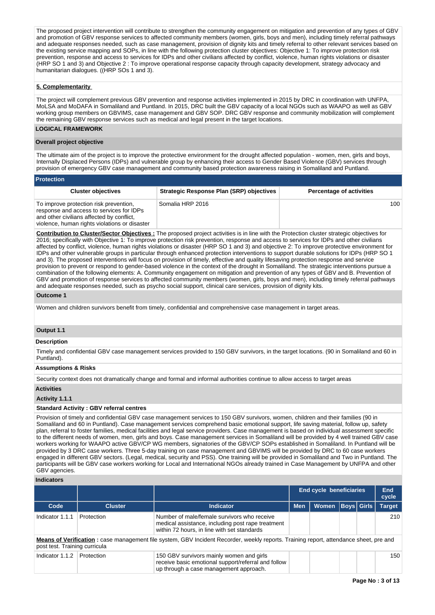The proposed project intervention will contribute to strengthen the community engagement on mitigation and prevention of any types of GBV and promotion of GBV response services to affected community members (women, girls, boys and men), including timely referral pathways and adequate responses needed, such as case management, provision of dignity kits and timely referral to other relevant services based on the existing service mapping and SOPs, in line with the following protection cluster objectives: Objective 1: To improve protection risk prevention, response and access to services for IDPs and other civilians affected by conflict, violence, human rights violations or disaster (HRP SO 1 and 3) and Objective 2 : To improve operational response capacity through capacity development, strategy advocacy and humanitarian dialogues. ((HRP SOs 1 and 3).

# **5. Complementarity**

The project will complement previous GBV prevention and response activities implemented in 2015 by DRC in coordination with UNFPA, MoLSA and MoDAFA in Somaliland and Puntland. In 2015, DRC built the GBV capacity of a local NGOs such as WAAPO as well as GBV working group members on GBVIMS, case management and GBV SOP. DRC GBV response and community mobilization will complement the remaining GBV response services such as medical and legal present in the target locations.

# **LOGICAL FRAMEWORK**

## **Overall project objective**

The ultimate aim of the project is to improve the protective environment for the drought affected population - women, men, girls and boys, Internally Displaced Persons (IDPs) and vulnerable group by enhancing their access to Gender Based Violence (GBV) services through provision of emergency GBV case management and community based protection awareness raising in Somaliland and Puntland.

| <b>Protection</b>                                                                                                                                                                |                                                 |                                 |
|----------------------------------------------------------------------------------------------------------------------------------------------------------------------------------|-------------------------------------------------|---------------------------------|
| <b>Cluster objectives</b>                                                                                                                                                        | <b>Strategic Response Plan (SRP) objectives</b> | <b>Percentage of activities</b> |
| To improve protection risk prevention,<br>response and access to services for IDPs<br>and other civilians affected by conflict,<br>violence, human rights violations or disaster | Somalia HRP 2016                                | 100                             |

**Contribution to Cluster/Sector Objectives :** The proposed project activities is in line with the Protection cluster strategic objectives for 2016; specifically with Objective 1: To improve protection risk prevention, response and access to services for IDPs and other civilians affected by conflict, violence, human rights violations or disaster (HRP SO 1 and 3) and objective 2: To improve protective environment for IDPs and other vulnerable groups in particular through enhanced protection interventions to support durable solutions for IDPs (HRP SO 1 and 3). The proposed interventions will focus on provision of timely, effective and quality lifesaving protection response and service provision to prevent or respond to gender-based violence in the context of the drought in Somaliland. The strategic interventions pursue a combination of the following elements: A. Community engagement on mitigation and prevention of any types of GBV and B. Prevention of GBV and promotion of response services to affected community members (women, girls, boys and men), including timely referral pathways and adequate responses needed, such as psycho social support, clinical care services, provision of dignity kits.

#### **Outcome 1**

Women and children survivors benefit from timely, confidential and comprehensive case management in target areas.

## **Output 1.1**

#### **Description**

Timely and confidential GBV case management services provided to 150 GBV survivors, in the target locations. (90 in Somaliland and 60 in Puntland).

### **Assumptions & Risks**

Security context does not dramatically change and formal and informal authorities continue to allow access to target areas

#### **Activities**

#### **Activity 1.1.1**

#### **Standard Activity : GBV referral centres**

Provision of timely and confidential GBV case management services to 150 GBV survivors, women, children and their families (90 in Somaliland and 60 in Puntland). Case management services comprehend basic emotional support, life saving material, follow up, safety plan, referral to foster families, medical facilities and legal service providers. Case management is based on individual assessment specific to the different needs of women, men, girls and boys. Case management services in Somaliland will be provided by 4 well trained GBV case workers working for WAAPO active GBV/CP WG members, signatories of the GBV/CP SOPs established in Somaliland. In Puntland will be provided by 3 DRC case workers. Three 5-day training on case management and GBVIMS will be provided by DRC to 60 case workers engaged in different GBV sectors. (Legal, medical, security and PSS). One training will be provided in Somaliland and Two in Puntland. The participants will be GBV case workers working for Local and International NGOs already trained in Case Management by UNFPA and other GBV agencies.

# **Indicators**

|                               |                |                                                                                                                                                 |            | End cycle beneficiaries |  |                   |               |
|-------------------------------|----------------|-------------------------------------------------------------------------------------------------------------------------------------------------|------------|-------------------------|--|-------------------|---------------|
| Code                          | <b>Cluster</b> | <b>Indicator</b>                                                                                                                                | <b>Men</b> | Women                   |  | <b>Boys Girls</b> | <b>Target</b> |
| Indicator 1.1.1               | Protection     | Number of male/female survivors who receive<br>medical assistance, including post rape treatment<br>within 72 hours, in line with set standards |            |                         |  |                   | 210           |
| post test. Training curricula |                | Means of Verification: case management file system, GBV Incident Recorder, weekly reports. Training report, attendance sheet, pre and           |            |                         |  |                   |               |
| Indicator 1.1.2               | Protection     | 150 GBV survivors mainly women and girls<br>receive basic emotional support/referral and follow<br>up through a case management approach.       |            |                         |  |                   | 150           |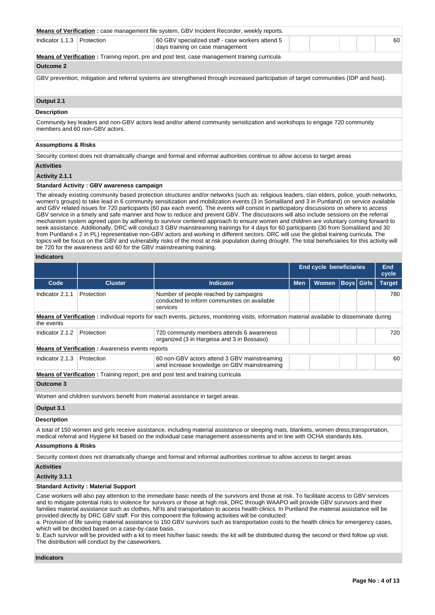|                                |                                                                     | <b>Means of Verification</b> : case management file system, GBV Incident Recorder, weekly reports.                                                                                                                                                                                                                                                                                                                                                                                                                                                                                                                                                                                                                                                                                                                                                                                                                                                                                                                    |                         |       |                   |  |               |
|--------------------------------|---------------------------------------------------------------------|-----------------------------------------------------------------------------------------------------------------------------------------------------------------------------------------------------------------------------------------------------------------------------------------------------------------------------------------------------------------------------------------------------------------------------------------------------------------------------------------------------------------------------------------------------------------------------------------------------------------------------------------------------------------------------------------------------------------------------------------------------------------------------------------------------------------------------------------------------------------------------------------------------------------------------------------------------------------------------------------------------------------------|-------------------------|-------|-------------------|--|---------------|
| Indicator 1.1.3                | Protection                                                          | 60 GBV specialized staff - case workers attend 5<br>days training on case management                                                                                                                                                                                                                                                                                                                                                                                                                                                                                                                                                                                                                                                                                                                                                                                                                                                                                                                                  |                         |       |                   |  | 60            |
|                                |                                                                     | Means of Verification: Training report, pre and post test, case management training curricula                                                                                                                                                                                                                                                                                                                                                                                                                                                                                                                                                                                                                                                                                                                                                                                                                                                                                                                         |                         |       |                   |  |               |
| <b>Outcome 2</b>               |                                                                     |                                                                                                                                                                                                                                                                                                                                                                                                                                                                                                                                                                                                                                                                                                                                                                                                                                                                                                                                                                                                                       |                         |       |                   |  |               |
|                                |                                                                     | GBV prevention, mitigation and referral systems are strengthened through increased participation of target communities (IDP and host).                                                                                                                                                                                                                                                                                                                                                                                                                                                                                                                                                                                                                                                                                                                                                                                                                                                                                |                         |       |                   |  |               |
| Output 2.1                     |                                                                     |                                                                                                                                                                                                                                                                                                                                                                                                                                                                                                                                                                                                                                                                                                                                                                                                                                                                                                                                                                                                                       |                         |       |                   |  |               |
| <b>Description</b>             |                                                                     |                                                                                                                                                                                                                                                                                                                                                                                                                                                                                                                                                                                                                                                                                                                                                                                                                                                                                                                                                                                                                       |                         |       |                   |  |               |
|                                | members and 60 non-GBV actors.                                      | Community key leaders and non-GBV actors lead and/or attend community sensitization and workshops to engage 720 community                                                                                                                                                                                                                                                                                                                                                                                                                                                                                                                                                                                                                                                                                                                                                                                                                                                                                             |                         |       |                   |  |               |
| <b>Assumptions &amp; Risks</b> |                                                                     |                                                                                                                                                                                                                                                                                                                                                                                                                                                                                                                                                                                                                                                                                                                                                                                                                                                                                                                                                                                                                       |                         |       |                   |  |               |
|                                |                                                                     | Security context does not dramatically change and formal and informal authorities continue to allow access to target areas                                                                                                                                                                                                                                                                                                                                                                                                                                                                                                                                                                                                                                                                                                                                                                                                                                                                                            |                         |       |                   |  |               |
| <b>Activities</b>              |                                                                     |                                                                                                                                                                                                                                                                                                                                                                                                                                                                                                                                                                                                                                                                                                                                                                                                                                                                                                                                                                                                                       |                         |       |                   |  |               |
| Activity 2.1.1                 |                                                                     |                                                                                                                                                                                                                                                                                                                                                                                                                                                                                                                                                                                                                                                                                                                                                                                                                                                                                                                                                                                                                       |                         |       |                   |  |               |
|                                | <b>Standard Activity: GBV awareness campaign</b>                    |                                                                                                                                                                                                                                                                                                                                                                                                                                                                                                                                                                                                                                                                                                                                                                                                                                                                                                                                                                                                                       |                         |       |                   |  |               |
|                                | be 720 for the awareness and 60 for the GBV mainstreaming training. | women's groups) to take lead in 6 community sensitization and mobilization events (3 in Somaliland and 3 in Puntland) on service available<br>and GBV related issues for 720 participants (60 pax each event). The events will consist in participatory discussions on where to access<br>GBV service in a timely and safe manner and how to reduce and prevent GBV. The discussions will also include sessions on the referral<br>mechanism system agreed upon by adhering to survivor centered approach to ensure women and children are voluntary coming forward to<br>seek assistance. Additionally, DRC will conduct 3 GBV mainstreaming trainings for 4 days for 60 participants (30 from Somaliland and 30<br>from Puntland-x 2 in PL) representative non-GBV actors and working in different sectors. DRC will use the global training curricula. The<br>topics will be focus on the GBV and vulnerabilty risks of the most at risk population during drought. The total beneficiaries for this activity will |                         |       |                   |  |               |
| <b>Indicators</b>              |                                                                     |                                                                                                                                                                                                                                                                                                                                                                                                                                                                                                                                                                                                                                                                                                                                                                                                                                                                                                                                                                                                                       |                         |       |                   |  |               |
|                                |                                                                     |                                                                                                                                                                                                                                                                                                                                                                                                                                                                                                                                                                                                                                                                                                                                                                                                                                                                                                                                                                                                                       |                         |       |                   |  | <b>End</b>    |
|                                |                                                                     |                                                                                                                                                                                                                                                                                                                                                                                                                                                                                                                                                                                                                                                                                                                                                                                                                                                                                                                                                                                                                       | End cycle beneficiaries |       |                   |  |               |
|                                |                                                                     |                                                                                                                                                                                                                                                                                                                                                                                                                                                                                                                                                                                                                                                                                                                                                                                                                                                                                                                                                                                                                       |                         |       |                   |  | cycle         |
| Code                           | <b>Cluster</b>                                                      | <b>Indicator</b>                                                                                                                                                                                                                                                                                                                                                                                                                                                                                                                                                                                                                                                                                                                                                                                                                                                                                                                                                                                                      | Men                     | Women | <b>Boys</b> Girls |  | <b>Target</b> |
| Indicator 2.1.1                | Protection                                                          | Number of people reached by campaigns<br>conducted to inform communities on available<br>services                                                                                                                                                                                                                                                                                                                                                                                                                                                                                                                                                                                                                                                                                                                                                                                                                                                                                                                     |                         |       |                   |  | 780           |
| the events                     |                                                                     | Means of Verification: individual reports for each events, pictures, monitoring visits, information material available to disseminate during                                                                                                                                                                                                                                                                                                                                                                                                                                                                                                                                                                                                                                                                                                                                                                                                                                                                          |                         |       |                   |  |               |
| Indicator 2.1.2                | Protection                                                          | 720 community members attends 6 awareness<br>organized (3 in Hargeisa and 3 in Bossaso)                                                                                                                                                                                                                                                                                                                                                                                                                                                                                                                                                                                                                                                                                                                                                                                                                                                                                                                               |                         |       |                   |  | 720           |
|                                | <b>Means of Verification:</b> Awareness events reports              |                                                                                                                                                                                                                                                                                                                                                                                                                                                                                                                                                                                                                                                                                                                                                                                                                                                                                                                                                                                                                       |                         |       |                   |  |               |
| Indicator 2.1.3                | Protection                                                          | 60 non-GBV actors attend 3 GBV mainstreaming<br>amd increase knowledge on GBV mainstreaming                                                                                                                                                                                                                                                                                                                                                                                                                                                                                                                                                                                                                                                                                                                                                                                                                                                                                                                           |                         |       |                   |  | 60            |
|                                |                                                                     | <b>Means of Verification:</b> Training report, pre and post test and training curricula                                                                                                                                                                                                                                                                                                                                                                                                                                                                                                                                                                                                                                                                                                                                                                                                                                                                                                                               |                         |       |                   |  |               |
| <b>Outcome 3</b>               |                                                                     |                                                                                                                                                                                                                                                                                                                                                                                                                                                                                                                                                                                                                                                                                                                                                                                                                                                                                                                                                                                                                       |                         |       |                   |  |               |
|                                |                                                                     | Women and children survivors benefit from material assistance in target areas.                                                                                                                                                                                                                                                                                                                                                                                                                                                                                                                                                                                                                                                                                                                                                                                                                                                                                                                                        |                         |       |                   |  |               |
| Output 3.1                     |                                                                     |                                                                                                                                                                                                                                                                                                                                                                                                                                                                                                                                                                                                                                                                                                                                                                                                                                                                                                                                                                                                                       |                         |       |                   |  |               |
| <b>Description</b>             |                                                                     |                                                                                                                                                                                                                                                                                                                                                                                                                                                                                                                                                                                                                                                                                                                                                                                                                                                                                                                                                                                                                       |                         |       |                   |  |               |
|                                |                                                                     | A total of 150 women and girls receive assistance, including material assistance or sleeping mats, blankets, women dress,transportation,<br>medical referral and Hygiene kit based on the individual case management assessments and in line with OCHA standards kits.                                                                                                                                                                                                                                                                                                                                                                                                                                                                                                                                                                                                                                                                                                                                                |                         |       |                   |  |               |
| <b>Assumptions &amp; Risks</b> |                                                                     |                                                                                                                                                                                                                                                                                                                                                                                                                                                                                                                                                                                                                                                                                                                                                                                                                                                                                                                                                                                                                       |                         |       |                   |  |               |
|                                |                                                                     | Security context does not dramatically change and formal and informal authorities continue to allow access to target areas                                                                                                                                                                                                                                                                                                                                                                                                                                                                                                                                                                                                                                                                                                                                                                                                                                                                                            |                         |       |                   |  |               |
| <b>Activities</b>              |                                                                     |                                                                                                                                                                                                                                                                                                                                                                                                                                                                                                                                                                                                                                                                                                                                                                                                                                                                                                                                                                                                                       |                         |       |                   |  |               |
| Activity 3.1.1                 |                                                                     |                                                                                                                                                                                                                                                                                                                                                                                                                                                                                                                                                                                                                                                                                                                                                                                                                                                                                                                                                                                                                       |                         |       |                   |  |               |
|                                | <b>Standard Activity: Material Support</b>                          |                                                                                                                                                                                                                                                                                                                                                                                                                                                                                                                                                                                                                                                                                                                                                                                                                                                                                                                                                                                                                       |                         |       |                   |  |               |

a. Provision of life saving material assistance to 150 GBV survivors such as transportation costs to the health clinics for emergency cases, which will be decided based on a case-by-case basis.

b. Each survivor will be provided with a kit to meet his/her basic needs: the kit will be distributed during the second or third follow up visit. The distribution will conduct by the caseworkers.

**Indicators**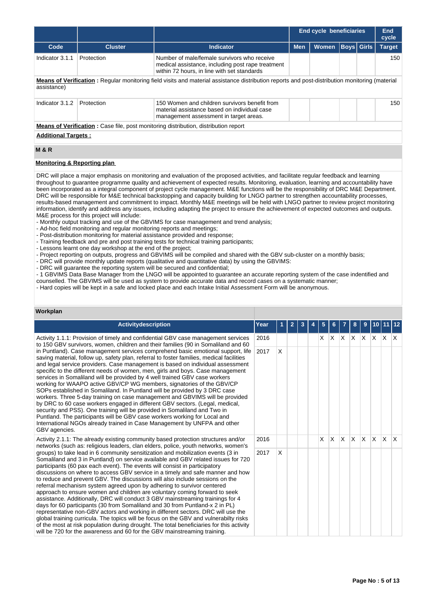|                            |                                                                                                                                                |                                                                                                                                                 | <b>End cycle beneficiaries</b> | End<br>cycle                      |  |  |               |  |  |  |  |
|----------------------------|------------------------------------------------------------------------------------------------------------------------------------------------|-------------------------------------------------------------------------------------------------------------------------------------------------|--------------------------------|-----------------------------------|--|--|---------------|--|--|--|--|
| Code                       | <b>Cluster</b>                                                                                                                                 | <b>Indicator</b>                                                                                                                                | <b>Men</b>                     | <b>Boys</b> Girls<br><b>Women</b> |  |  | <b>Target</b> |  |  |  |  |
| Indicator 3.1.1            | Protection                                                                                                                                     | Number of male/female survivors who receive<br>medical assistance, including post rape treatment<br>within 72 hours, in line with set standards |                                |                                   |  |  | 150           |  |  |  |  |
| assistance)                | Means of Verification: Regular monitoring field visits and material assistance distribution reports and post-distribution monitoring (material |                                                                                                                                                 |                                |                                   |  |  |               |  |  |  |  |
| Indicator 3.1.2            | Protection                                                                                                                                     | 150 Women and children survivors benefit from<br>material assistance based on individual case<br>management assessment in target areas.         |                                |                                   |  |  | 150           |  |  |  |  |
|                            |                                                                                                                                                | <b>Means of Verification:</b> Case file, post monitoring distribution, distribution report                                                      |                                |                                   |  |  |               |  |  |  |  |
| <b>Additional Targets:</b> |                                                                                                                                                |                                                                                                                                                 |                                |                                   |  |  |               |  |  |  |  |
| <b>M&amp;R</b>             |                                                                                                                                                |                                                                                                                                                 |                                |                                   |  |  |               |  |  |  |  |

# **Monitoring & Reporting plan**

DRC will place a major emphasis on monitoring and evaluation of the proposed activities, and facilitate regular feedback and learning throughout to guarantee programme quality and achievement of expected results. Monitoring, evaluation, learning and accountability have been incorporated as a integral component of project cycle management. M&E functions will be the responsibility of DRC M&E Department. DRC will be responsible for M&E technical backstopping and capacity building for LNGO partner to strengthen accountability processes, results-based management and commitment to impact. Monthly M&E meetings will be held with LNGO partner to review project monitoring information, identify and address any issues, including adapting the project to ensure the achievement of expected outcomes and outputs. M&E process for this project will include:

- Monthly output tracking and use of the GBVIMS for case management and trend analysis;

- Ad-hoc field monitoring and regular monitoring reports and meetings;

- Post-distribution monitoring for material assistance provided and response;

- Training feedback and pre and post training tests for technical training participants;

- Lessons learnt one day workshop at the end of the project;

- Project reporting on outputs, progress and GBVIMS will be compiled and shared with the GBV sub-cluster on a monthly basis;

- DRC will provide monthly update reports (qualitative and quantitative data) by using the GBVIMS:

- DRC will guarantee the reporting system will be secured and confidential;

- 1 GBVIMS Data Base Manager from the LNGO will be appointed to guarantee an accurate reporting system of the case indentified and counselled. The GBVIMS will be used as system to provide accurate data and record cases on a systematic manner;

- Hard copies will be kept in a safe and locked place and each Intake Initial Assessment Form will be anonymous.

# **Workplan**

| <b>Activitydescription</b>                                                                                                                                                                                                                                                                                                                                                                                                                                                                                                                                                                                                                                                                                                                                                                                                                                                                                                                                                                                                                                                                          | Year |   | 2 |  |   |          |          | 8                       | 9        |     |              | 112                     |
|-----------------------------------------------------------------------------------------------------------------------------------------------------------------------------------------------------------------------------------------------------------------------------------------------------------------------------------------------------------------------------------------------------------------------------------------------------------------------------------------------------------------------------------------------------------------------------------------------------------------------------------------------------------------------------------------------------------------------------------------------------------------------------------------------------------------------------------------------------------------------------------------------------------------------------------------------------------------------------------------------------------------------------------------------------------------------------------------------------|------|---|---|--|---|----------|----------|-------------------------|----------|-----|--------------|-------------------------|
| Activity 1.1.1: Provision of timely and confidential GBV case management services<br>to 150 GBV survivors, women, children and their families (90 in Somaliland and 60                                                                                                                                                                                                                                                                                                                                                                                                                                                                                                                                                                                                                                                                                                                                                                                                                                                                                                                              | 2016 |   |   |  | X | $\times$ | X.       | $\mathsf{X} \mathsf{X}$ |          | ΙX. | $\mathsf{X}$ | $\mathsf{I} \mathsf{X}$ |
| in Puntland). Case management services comprehend basic emotional support, life<br>saving material, follow up, safety plan, referral to foster families, medical facilities<br>and legal service providers. Case management is based on individual assessment<br>specific to the different needs of women, men, girls and boys. Case management<br>services in Somaliland will be provided by 4 well trained GBV case workers<br>working for WAAPO active GBV/CP WG members, signatories of the GBV/CP<br>SOPs established in Somaliland. In Puntland will be provided by 3 DRC case<br>workers. Three 5-day training on case management and GBVIMS will be provided<br>by DRC to 60 case workers engaged in different GBV sectors. (Legal, medical,<br>security and PSS). One training will be provided in Somaliland and Two in<br>Puntland. The participants will be GBV case workers working for Local and<br>International NGOs already trained in Case Management by UNFPA and other<br>GBV agencies.                                                                                         | 2017 | X |   |  |   |          |          |                         |          |     |              |                         |
| Activity 2.1.1: The already existing community based protection structures and/or<br>networks (such as: religious leaders, clan elders, police, youth networks, women's                                                                                                                                                                                                                                                                                                                                                                                                                                                                                                                                                                                                                                                                                                                                                                                                                                                                                                                             | 2016 |   |   |  | X | $\times$ | <b>X</b> | <b>X</b>                | <b>X</b> | ΙX. | ΙX.          | $\mathsf{X}$            |
| groups) to take lead in 6 community sensitization and mobilization events (3 in<br>Somaliland and 3 in Puntland) on service available and GBV related issues for 720<br>participants (60 pax each event). The events will consist in participatory<br>discussions on where to access GBV service in a timely and safe manner and how<br>to reduce and prevent GBV. The discussions will also include sessions on the<br>referral mechanism system agreed upon by adhering to survivor centered<br>approach to ensure women and children are voluntary coming forward to seek<br>assistance. Additionally, DRC will conduct 3 GBV mainstreaming trainings for 4<br>days for 60 participants (30 from Somaliland and 30 from Puntland-x 2 in PL)<br>representative non-GBV actors and working in different sectors. DRC will use the<br>global training curricula. The topics will be focus on the GBV and vulnerabilty risks<br>of the most at risk population during drought. The total beneficiaries for this activity<br>will be 720 for the awareness and 60 for the GBV mainstreaming training. | 2017 | X |   |  |   |          |          |                         |          |     |              |                         |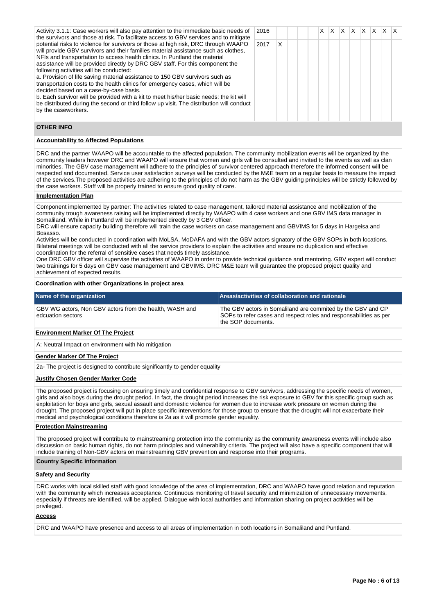| Activity 3.1.1: Case workers will also pay attention to the immediate basic needs of<br>the survivors and those at risk. To facilitate access to GBV services and to mitigate                                                                                                                                                                                                                                                                                                                                                                                                                                                                                                                                                                                                                              | 2016 |   |  |  | X. | $X$ $X$ $X$ $X$ |  | X. |  |
|------------------------------------------------------------------------------------------------------------------------------------------------------------------------------------------------------------------------------------------------------------------------------------------------------------------------------------------------------------------------------------------------------------------------------------------------------------------------------------------------------------------------------------------------------------------------------------------------------------------------------------------------------------------------------------------------------------------------------------------------------------------------------------------------------------|------|---|--|--|----|-----------------|--|----|--|
| potential risks to violence for survivors or those at high risk, DRC through WAAPO<br>will provide GBV survivors and their families material assistance such as clothes,<br>NFIs and transportation to access health clinics. In Puntland the material<br>assistance will be provided directly by DRC GBV staff. For this component the<br>following activities will be conducted:<br>a. Provision of life saving material assistance to 150 GBV survivors such as<br>transportation costs to the health clinics for emergency cases, which will be<br>decided based on a case-by-case basis.<br>b. Each survivor will be provided with a kit to meet his/her basic needs: the kit will<br>be distributed during the second or third follow up visit. The distribution will conduct<br>by the caseworkers. | 2017 | X |  |  |    |                 |  |    |  |

# **OTHER INFO**

# **Accountability to Affected Populations**

DRC and the partner WAAPO will be accountable to the affected population. The community mobilization events will be organized by the community leaders however DRC and WAAPO will ensure that women and girls will be consulted and invited to the events as well as clan minorities. The GBV case management will adhere to the principles of survivor centered approach therefore the informed consent will be respected and documented. Service user satisfaction surveys will be conducted by the M&E team on a regular basis to measure the impact of the services.The proposed activities are adhering to the principles of do not harm as the GBV guiding principles will be strictly followed by the case workers. Staff will be properly trained to ensure good quality of care.

### **Implementation Plan**

Component implemented by partner: The activities related to case management, tailored material assistance and mobilization of the community trough awareness raising will be implemented directly by WAAPO with 4 case workers and one GBV IMS data manager in Somaliland. While in Puntland will be implemented directly by 3 GBV officer.

DRC will ensure capacity building therefore will train the case workers on case management and GBVIMS for 5 days in Hargeisa and Bosasso.

Activities will be conducted in coordination with MoLSA, MoDAFA and with the GBV actors signatory of the GBV SOPs in both locations. Bilateral meetings will be conducted with all the service providers to explain the activities and ensure no duplication and effective coordination for the referral of sensitive cases that needs timely assistance.

One DRC GBV officer will supervise the activities of WAAPO in order to provide technical guidance and mentoring. GBV expert will conduct two trainings for 5 days on GBV case management and GBVIMS. DRC M&E team will guarantee the proposed project quality and achievement of expected results.

# **Coordination with other Organizations in project area**

| Name of the organization                                                     | Areas/activities of collaboration and rationale                                                                                                        |
|------------------------------------------------------------------------------|--------------------------------------------------------------------------------------------------------------------------------------------------------|
| GBV WG actors, Non GBV actors from the health, WASH and<br>edcuation sectors | The GBV actors in Somaliland are commited by the GBV and CP<br>SOPs to refer cases and respect roles and responsabilities as per<br>the SOP documents. |

# **Environment Marker Of The Project**

A: Neutral Impact on environment with No mitigation

## **Gender Marker Of The Project**

2a- The project is designed to contribute significantly to gender equality

# **Justify Chosen Gender Marker Code**

The proposed project is focusing on ensuring timely and confidential response to GBV survivors, addressing the specific needs of women, girls and also boys during the drought period. In fact, the drought period increases the risk exposure to GBV for this specific group such as exploitation for boys and girls, sexual assault and domestic violence for women due to increase work pressure on women during the drought. The proposed project will put in place specific interventions for those group to ensure that the drought will not exacerbate their medical and psychological conditions therefore is 2a as it will promote gender equality.

#### **Protection Mainstreaming**

The proposed project will contribute to mainstreaming protection into the community as the community awareness events will include also discussion on basic human rights, do not harm principles and vulnerability criteria. The project will also have a specific component that will include training of Non-GBV actors on mainstreaming GBV prevention and response into their programs.

#### **Country Specific Information**

# **Safety and Security**

DRC works with local skilled staff with good knowledge of the area of implementation, DRC and WAAPO have good relation and reputation with the community which increases acceptance. Continuous monitoring of travel security and minimization of unnecessary movements, especially if threats are identified, will be applied. Dialogue with local authorities and information sharing on project activities will be privileged.

# **Access**

DRC and WAAPO have presence and access to all areas of implementation in both locations in Somaliland and Puntland.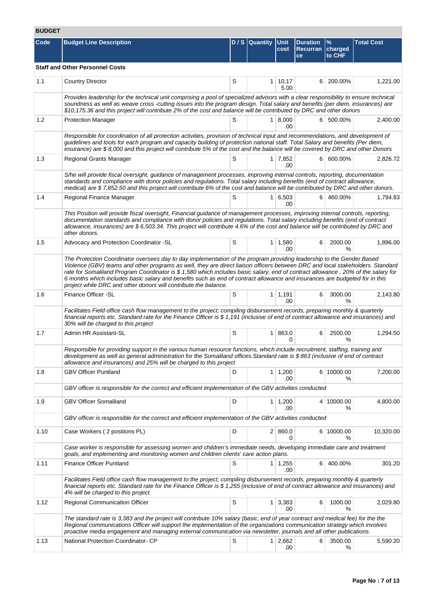# **BUDGET**

| Code | <b>Budget Line Description</b>                                                                                                                                                                                                                                                                                                                                                                                                                                                                                                                                                                 |             | D / S Quantity Unit | cost                        | <b>Duration</b><br>Recurran<br>ce | $\frac{9}{6}$<br>charged<br>to CHF | <b>Total Cost</b> |  |  |  |  |
|------|------------------------------------------------------------------------------------------------------------------------------------------------------------------------------------------------------------------------------------------------------------------------------------------------------------------------------------------------------------------------------------------------------------------------------------------------------------------------------------------------------------------------------------------------------------------------------------------------|-------------|---------------------|-----------------------------|-----------------------------------|------------------------------------|-------------------|--|--|--|--|
|      | <b>Staff and Other Personnel Costs</b>                                                                                                                                                                                                                                                                                                                                                                                                                                                                                                                                                         |             |                     |                             |                                   |                                    |                   |  |  |  |  |
| 1.1  | <b>Country Director</b>                                                                                                                                                                                                                                                                                                                                                                                                                                                                                                                                                                        | S           |                     | $1 \mid 10,17$<br>5.00      |                                   | 6 200.00%                          | 1,221.00          |  |  |  |  |
|      | Provides leadership for the technical unit comprising a pool of specialized advisors with a clear responsibility to ensure technical<br>soundness as well as weave cross -cutting issues into the program design. Total salary and benefits (per diem, insurances) are<br>\$10,175.36 and this project will contribute 2% of the cost and balance will be contributed by DRC and other donors                                                                                                                                                                                                  |             |                     |                             |                                   |                                    |                   |  |  |  |  |
| 1.2  | <b>Protection Manager</b>                                                                                                                                                                                                                                                                                                                                                                                                                                                                                                                                                                      | S           |                     | 1   8,000<br>.00            |                                   | 6 500.00%                          | 2,400.00          |  |  |  |  |
|      | Responsible for coordination of all protection activities, provision of technical input and recommendations, and development of<br>guidelines and tools for each program and capacity building of protection national staff. Total Salary and benefits (Per diem,<br>insurance) are \$8,000 and this project will contribute 5% of the cost and the balance will be covered by DRC and other Donors                                                                                                                                                                                            |             |                     |                             |                                   |                                    |                   |  |  |  |  |
| 1.3  | <b>Regional Grants Manager</b>                                                                                                                                                                                                                                                                                                                                                                                                                                                                                                                                                                 | S           |                     | $1 \overline{7,852}$<br>.00 |                                   | 6 600.00%                          | 2,826.72          |  |  |  |  |
|      | S/he will provide fiscal oversight, guidance of management processes, improving internal controls, reporting, documentation<br>standards and compliance with donor policies and requlations. Total salary including benefits (end of contract allowance,<br>medical) are \$7,852.50 and this project will contribute 6% of the cost and balance will be contributed by DRC and other donors.                                                                                                                                                                                                   |             |                     |                             |                                   |                                    |                   |  |  |  |  |
| 1.4  | Regional Finance Manager                                                                                                                                                                                                                                                                                                                                                                                                                                                                                                                                                                       | S           |                     | 1 6,503<br>.00              |                                   | 6 460,00%                          | 1,794.83          |  |  |  |  |
|      | This Position will provide fiscal oversight, Financial guidance of management processes, improving internal controls, reporting,<br>documentation standards and compliance with donor policies and requlations. Total salary including benefits (end of contract<br>allowance, insurances) are \$6,503.34. This project will contribute 4.6% of the cost and balance will be contributed by DRC and<br>other donors.                                                                                                                                                                           |             |                     |                             |                                   |                                    |                   |  |  |  |  |
| 1.5  | Advocacy and Protection Coordinator - SL                                                                                                                                                                                                                                                                                                                                                                                                                                                                                                                                                       | S           |                     | $1 \mid 1,580$<br>.00       | 6                                 | 2000.00<br>℅                       | 1,896.00          |  |  |  |  |
|      | The Protection Coordinator oversees day to day implementation of the program providing leadership to the Gender Based<br>Violence (GBV) teams and other programs as well, they are direct liaison officers between DRC and local stakeholders. Standard<br>rate for Somaliland Program Coordinator is \$ 1,580 which includes basic salary, end of contract allowance, 20% of the salary for<br>6 months which includes basic salary and benefits such as end of contract allowance and insurances are budgeted for in this<br>project while DRC and other donors will contribute the balance. |             |                     |                             |                                   |                                    |                   |  |  |  |  |
| 1.6  | Finance Officer - SL                                                                                                                                                                                                                                                                                                                                                                                                                                                                                                                                                                           | $\mathsf S$ |                     | $1 \mid 1,191$<br>.00       | 6                                 | 3000.00<br>℅                       | 2,143.80          |  |  |  |  |
|      | Facilitates Field office cash flow management to the project; compiling disbursement records, preparing monthly & quarterly<br>financial reports etc. Standard rate for the Finance Officer is \$1,191 (inclusive of end of contract allowance and insurances) and<br>30% will be charged to this project                                                                                                                                                                                                                                                                                      |             |                     |                             |                                   |                                    |                   |  |  |  |  |
| 1.7  | Admin HR Assistant-SL                                                                                                                                                                                                                                                                                                                                                                                                                                                                                                                                                                          | S           |                     | 1 863.0<br>0                | 6                                 | 2500.00<br>%                       | 1,294.50          |  |  |  |  |
|      | Responsible for providing support in the various human resource functions, which include recruitment, staffing, training and<br>development as well as general administration for the Somaliland offices. Standard rate is \$863 (inclusive of end of contract<br>allowance and insurances) and 25% will be charged to this project                                                                                                                                                                                                                                                            |             |                     |                             |                                   |                                    |                   |  |  |  |  |
| 1.8  | <b>GBV Officer Puntland</b>                                                                                                                                                                                                                                                                                                                                                                                                                                                                                                                                                                    | D           |                     | $1 \mid 1,200$<br>.00       |                                   | 6 10000.00<br>℅                    | 7,200.00          |  |  |  |  |
|      | GBV officer is responsible for the correct and efficient implementation of the GBV activities conducted                                                                                                                                                                                                                                                                                                                                                                                                                                                                                        |             |                     |                             |                                   |                                    |                   |  |  |  |  |
| 1.9  | <b>GBV Officer Somaliland</b>                                                                                                                                                                                                                                                                                                                                                                                                                                                                                                                                                                  | D           |                     | $1 \mid 1,200$<br>.00       |                                   | 4 10000.00<br>%                    | 4,800.00          |  |  |  |  |
|      | GBV officer is responsible for the correct and efficient implementation of the GBV activities conducted                                                                                                                                                                                                                                                                                                                                                                                                                                                                                        |             |                     |                             |                                   |                                    |                   |  |  |  |  |
| 1.10 | Case Workers (2 positions PL)                                                                                                                                                                                                                                                                                                                                                                                                                                                                                                                                                                  | D           |                     | 2   860.0<br>0              |                                   | 6 10000.00<br>℅                    | 10,320.00         |  |  |  |  |
|      | Case worker is responsible for assessing women and children's immediate needs, developing immediate care and treatment<br>goals, and implementing and monitoring women and children clients' care action plans.                                                                                                                                                                                                                                                                                                                                                                                |             |                     |                             |                                   |                                    |                   |  |  |  |  |
| 1.11 | <b>Finance Officer Puntland</b>                                                                                                                                                                                                                                                                                                                                                                                                                                                                                                                                                                | S           |                     | $1 \mid 1,255$<br>.00       | 6 <sup>1</sup>                    | 400.00%                            | 301.20            |  |  |  |  |
|      | Facilitates Field office cash flow management to the project; compiling disbursement records, preparing monthly & quarterly<br>financial reports etc. Standard rate for the Finance Officer is \$1,255 (inclusive of end of contract allowance and insurances) and<br>4% will be charged to this project                                                                                                                                                                                                                                                                                       |             |                     |                             |                                   |                                    |                   |  |  |  |  |
| 1.12 | <b>Regional Communication Officer</b>                                                                                                                                                                                                                                                                                                                                                                                                                                                                                                                                                          | S           |                     | $1 \mid 3,383$<br>.00       | 6                                 | 1000.00<br>%                       | 2,029.80          |  |  |  |  |
|      | The standard rate is 3,383 and the project will contribute 10% salary (basic, end of year contract and medical fee) for the the<br>Regional communications Officer will support the implementation of the organizations communication strategy which involves<br>proactive media engagement and managing external communication via newsletter, journals and all other publications.                                                                                                                                                                                                           |             |                     |                             |                                   |                                    |                   |  |  |  |  |
| 1.13 | National Protection Coordinator- CP                                                                                                                                                                                                                                                                                                                                                                                                                                                                                                                                                            | S           |                     | $1 \mid 2,662$<br>.00       | 6                                 | 3500.00<br>%                       | 5,590.20          |  |  |  |  |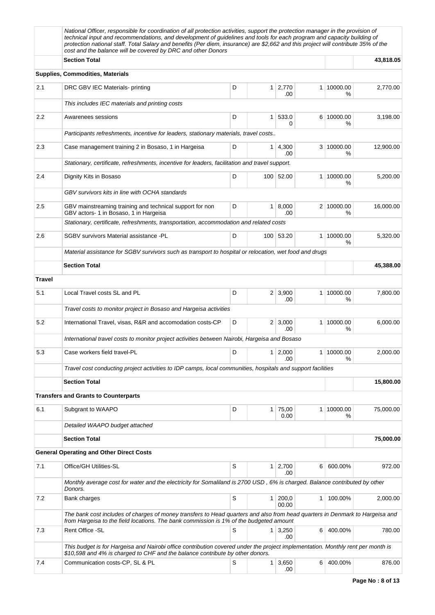|               | National Officer, responsible for coordination of all protection activities, support the protection manager in the provision of<br>technical input and recommendations, and development of guidelines and tools for each program and capacity building of<br>protection national staff. Total Salary and benefits (Per diem, insurance) are \$2,662 and this project will contribute 35% of the<br>cost and the balance will be covered by DRC and other Donors |                 |                |                              |                |                 |           |
|---------------|-----------------------------------------------------------------------------------------------------------------------------------------------------------------------------------------------------------------------------------------------------------------------------------------------------------------------------------------------------------------------------------------------------------------------------------------------------------------|-----------------|----------------|------------------------------|----------------|-----------------|-----------|
|               | <b>Section Total</b>                                                                                                                                                                                                                                                                                                                                                                                                                                            |                 |                | 43,818.05                    |                |                 |           |
|               | <b>Supplies, Commodities, Materials</b>                                                                                                                                                                                                                                                                                                                                                                                                                         |                 |                |                              |                |                 |           |
| 2.1           | DRC GBV IEC Materials- printing                                                                                                                                                                                                                                                                                                                                                                                                                                 | D               | 1 <sup>1</sup> | 2,770<br>.00                 |                | 1 10000.00<br>℅ | 2,770.00  |
|               | This includes IEC materials and printing costs                                                                                                                                                                                                                                                                                                                                                                                                                  |                 |                |                              |                |                 |           |
| $2.2\,$       | Awarenees sessions                                                                                                                                                                                                                                                                                                                                                                                                                                              | 6 10000.00<br>% | 3,198.00       |                              |                |                 |           |
|               | Participants refreshments, incentive for leaders, stationary materials, travel costs                                                                                                                                                                                                                                                                                                                                                                            |                 |                |                              |                |                 |           |
| 2.3           | Case management training 2 in Bosaso, 1 in Hargeisa                                                                                                                                                                                                                                                                                                                                                                                                             | D               |                | $1 \mid 4,300$<br>.00        |                | 3 10000.00<br>℅ | 12,900.00 |
|               | Stationary, certificate, refreshments, incentive for leaders, facilitation and travel support.                                                                                                                                                                                                                                                                                                                                                                  |                 |                |                              |                |                 |           |
| 2.4           | Dignity Kits in Bosaso                                                                                                                                                                                                                                                                                                                                                                                                                                          | D               |                | 100 52.00                    |                | 1 10000.00<br>℅ | 5,200.00  |
|               | GBV survivors kits in line with OCHA standards                                                                                                                                                                                                                                                                                                                                                                                                                  |                 |                |                              |                |                 |           |
| 2.5           | GBV mainstreaming training and technical support for non<br>GBV actors- 1 in Bosaso, 1 in Hargeisa                                                                                                                                                                                                                                                                                                                                                              | D               |                | 1   8,000<br>.00             |                | 2 10000.00<br>℅ | 16,000.00 |
|               | Stationary, certificate, refreshments, transportation, accommodation and related costs                                                                                                                                                                                                                                                                                                                                                                          |                 |                |                              |                |                 |           |
| 2.6           | SGBV survivors Material assistance -PL                                                                                                                                                                                                                                                                                                                                                                                                                          | D               |                | 100 53.20                    |                | 1 10000.00<br>℅ | 5,320.00  |
|               | Material assistance for SGBV survivors such as transport to hospital or relocation, wet food and drugs                                                                                                                                                                                                                                                                                                                                                          |                 |                |                              |                |                 |           |
|               | <b>Section Total</b>                                                                                                                                                                                                                                                                                                                                                                                                                                            |                 |                |                              |                |                 | 45,388.00 |
| <b>Travel</b> |                                                                                                                                                                                                                                                                                                                                                                                                                                                                 |                 |                |                              |                |                 |           |
| 5.1           | Local Travel costs SL and PL                                                                                                                                                                                                                                                                                                                                                                                                                                    | D               |                | $2 \mid 3,900$<br>.00        |                | 1 10000.00<br>℅ | 7,800.00  |
|               | Travel costs to monitor project in Bosaso and Hargeisa activities                                                                                                                                                                                                                                                                                                                                                                                               |                 |                |                              |                |                 |           |
| 5.2           | International Travel, visas, R&R and accomodation costs-CP                                                                                                                                                                                                                                                                                                                                                                                                      | D               |                | $2 \mid 3,000$<br>.00        |                | 1 10000.00<br>℅ | 6,000.00  |
|               | International travel costs to monitor project activities between Nairobi, Hargeisa and Bosaso                                                                                                                                                                                                                                                                                                                                                                   |                 |                |                              |                |                 |           |
| 5.3           | Case workers field travel-PL                                                                                                                                                                                                                                                                                                                                                                                                                                    | D               |                | $1 \mid 2,000$<br>.00        |                | 1 10000.00<br>% | 2.000.00  |
|               | Travel cost conducting project activities to IDP camps, local communities, hospitals and support facilities                                                                                                                                                                                                                                                                                                                                                     |                 |                |                              |                |                 |           |
|               | <b>Section Total</b>                                                                                                                                                                                                                                                                                                                                                                                                                                            |                 |                |                              |                |                 | 15,800.00 |
|               | <b>Transfers and Grants to Counterparts</b>                                                                                                                                                                                                                                                                                                                                                                                                                     |                 |                |                              |                |                 |           |
| 6.1           | Subgrant to WAAPO                                                                                                                                                                                                                                                                                                                                                                                                                                               | D               |                | 1 75,00<br>0.00              |                | 1 10000.00<br>% | 75,000.00 |
|               | Detailed WAAPO budget attached                                                                                                                                                                                                                                                                                                                                                                                                                                  |                 |                |                              |                |                 |           |
|               | <b>Section Total</b>                                                                                                                                                                                                                                                                                                                                                                                                                                            |                 |                |                              |                |                 | 75,000.00 |
|               | <b>General Operating and Other Direct Costs</b>                                                                                                                                                                                                                                                                                                                                                                                                                 |                 |                |                              |                |                 |           |
| 7.1           | Office/GH Utilities-SL                                                                                                                                                                                                                                                                                                                                                                                                                                          | S               |                | $1 \overline{)2,700}$<br>.00 | 6              | 600.00%         | 972.00    |
|               | Monthly average cost for water and the electricity for Somaliland is 2700 USD, 6% is charged. Balance contributed by other<br>Donors.                                                                                                                                                                                                                                                                                                                           |                 |                |                              |                |                 |           |
| 7.2           | Bank charges                                                                                                                                                                                                                                                                                                                                                                                                                                                    | S               | 1 <sup>1</sup> | 200,0<br>00.00               | 1.             | 100.00%         | 2,000.00  |
|               | The bank cost includes of charges of money transfers to Head quarters and also from head quarters in Denmark to Hargeisa and<br>from Hargeisa to the field locations. The bank commission is 1% of the budgeted amount                                                                                                                                                                                                                                          |                 |                |                              |                |                 |           |
| 7.3           | Rent Office - SL                                                                                                                                                                                                                                                                                                                                                                                                                                                | S               |                | $1 \mid 3,250$<br>.00        | 6              | 400.00%         | 780.00    |
|               | This budget is for Hargeisa and Nairobi office contribution covered under the project implementation. Monthly rent per month is<br>\$10,598 and 4% is charged to CHF and the balance contribute by other donors.                                                                                                                                                                                                                                                |                 |                |                              |                |                 |           |
| 7.4           | Communication costs-CP, SL & PL                                                                                                                                                                                                                                                                                                                                                                                                                                 | S               | 1 <sup>1</sup> | 3,650<br>.00                 | 6 <sup>1</sup> | 400.00%         | 876.00    |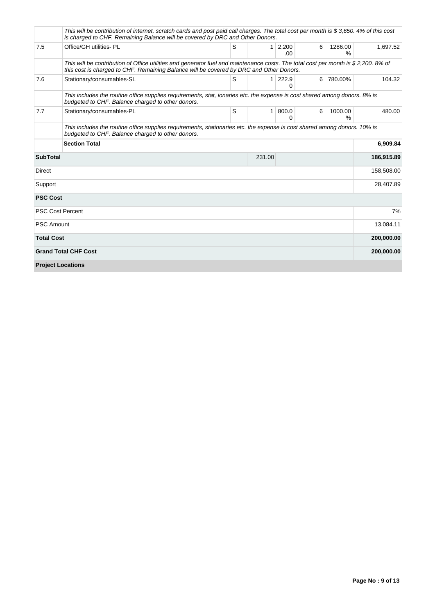|                   | This will be contribution of internet, scratch cards and post paid call charges. The total cost per month is \$3,650.4% of this cost<br>is charged to CHF. Remaining Balance will be covered by DRC and Other Donors.         |   |                |                              |   |                 |            |
|-------------------|-------------------------------------------------------------------------------------------------------------------------------------------------------------------------------------------------------------------------------|---|----------------|------------------------------|---|-----------------|------------|
| 7.5               | Office/GH utilities- PL                                                                                                                                                                                                       | S |                | $1 \overline{)2,200}$<br>.00 | 6 | 1286.00<br>$\%$ | 1,697.52   |
|                   | This will be contribution of Office utilities and generator fuel and maintenance costs. The total cost per month is \$2,200, 8% of<br>this cost is charged to CHF. Remaining Balance will be covered by DRC and Other Donors. |   |                |                              |   |                 |            |
| 7.6               | Stationary/consumables-SL                                                                                                                                                                                                     | S | 1 <sup>1</sup> | 222.9<br>$\Omega$            | 6 | 780.00%         | 104.32     |
|                   | This includes the routine office supplies requirements, stat, ionaries etc. the expense is cost shared among donors. 8% is<br>budgeted to CHF. Balance charged to other donors.                                               |   |                |                              |   |                 |            |
| 7.7               | Stationary/consumables-PL                                                                                                                                                                                                     | S | 1 <sup>1</sup> | 800.0<br>0                   | 6 | 1000.00<br>%    | 480.00     |
|                   | This includes the routine office supplies requirements, stationaries etc. the expense is cost shared among donors. 10% is<br>budgeted to CHF. Balance charged to other donors.                                                |   |                |                              |   |                 |            |
|                   | <b>Section Total</b>                                                                                                                                                                                                          |   |                |                              |   |                 | 6,909.84   |
| <b>SubTotal</b>   |                                                                                                                                                                                                                               |   | 231.00         |                              |   |                 | 186,915.89 |
| <b>Direct</b>     |                                                                                                                                                                                                                               |   |                |                              |   |                 | 158,508.00 |
| Support           |                                                                                                                                                                                                                               |   |                |                              |   |                 | 28,407.89  |
| <b>PSC Cost</b>   |                                                                                                                                                                                                                               |   |                |                              |   |                 |            |
|                   | <b>PSC Cost Percent</b>                                                                                                                                                                                                       |   |                |                              |   |                 | 7%         |
| <b>PSC Amount</b> |                                                                                                                                                                                                                               |   |                |                              |   |                 | 13,084.11  |
| <b>Total Cost</b> |                                                                                                                                                                                                                               |   |                |                              |   |                 | 200,000.00 |
|                   | <b>Grand Total CHF Cost</b>                                                                                                                                                                                                   |   |                |                              |   |                 | 200,000.00 |
|                   | <b>Project Locations</b>                                                                                                                                                                                                      |   |                |                              |   |                 |            |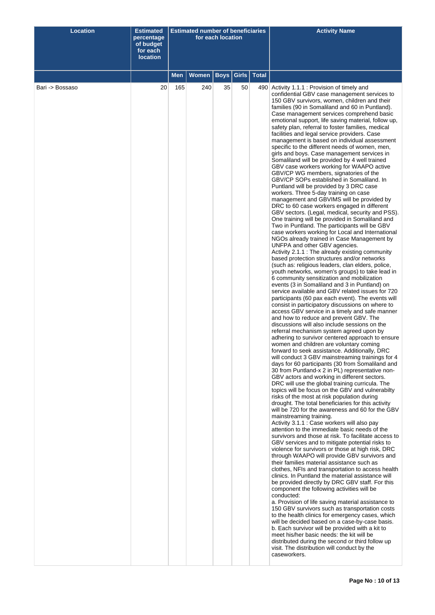| <b>Location</b> | <b>Estimated</b><br>percentage<br>of budget<br>for each<br><b>location</b> | <b>Estimated number of beneficiaries</b><br>for each location |              |             |    |               | <b>Activity Name</b>                                                                                                                                                                                                                                                                                                                                                                                                                                                                                                                                                                                                                                                                                                                                                                                                                                                                                                                                                                                                                                                                                                                                                                                                                                                                                                                                                                                                                                                                                                                                                                                                                                                                                                                                                                                                                                                                                                                                                                                                                                                                                                                                                                                                                                                                                                                                                                                                                                                                                                                                                                                                                                                                                                                                                                                                                                                                                                                                                                                                                                                                                                                                                                                                                                                                                                                                                                                                                                                                                                                                                  |
|-----------------|----------------------------------------------------------------------------|---------------------------------------------------------------|--------------|-------------|----|---------------|-----------------------------------------------------------------------------------------------------------------------------------------------------------------------------------------------------------------------------------------------------------------------------------------------------------------------------------------------------------------------------------------------------------------------------------------------------------------------------------------------------------------------------------------------------------------------------------------------------------------------------------------------------------------------------------------------------------------------------------------------------------------------------------------------------------------------------------------------------------------------------------------------------------------------------------------------------------------------------------------------------------------------------------------------------------------------------------------------------------------------------------------------------------------------------------------------------------------------------------------------------------------------------------------------------------------------------------------------------------------------------------------------------------------------------------------------------------------------------------------------------------------------------------------------------------------------------------------------------------------------------------------------------------------------------------------------------------------------------------------------------------------------------------------------------------------------------------------------------------------------------------------------------------------------------------------------------------------------------------------------------------------------------------------------------------------------------------------------------------------------------------------------------------------------------------------------------------------------------------------------------------------------------------------------------------------------------------------------------------------------------------------------------------------------------------------------------------------------------------------------------------------------------------------------------------------------------------------------------------------------------------------------------------------------------------------------------------------------------------------------------------------------------------------------------------------------------------------------------------------------------------------------------------------------------------------------------------------------------------------------------------------------------------------------------------------------------------------------------------------------------------------------------------------------------------------------------------------------------------------------------------------------------------------------------------------------------------------------------------------------------------------------------------------------------------------------------------------------------------------------------------------------------------------------------------------------|
|                 |                                                                            | Men                                                           | <b>Women</b> | <b>Boys</b> |    | Girls   Total |                                                                                                                                                                                                                                                                                                                                                                                                                                                                                                                                                                                                                                                                                                                                                                                                                                                                                                                                                                                                                                                                                                                                                                                                                                                                                                                                                                                                                                                                                                                                                                                                                                                                                                                                                                                                                                                                                                                                                                                                                                                                                                                                                                                                                                                                                                                                                                                                                                                                                                                                                                                                                                                                                                                                                                                                                                                                                                                                                                                                                                                                                                                                                                                                                                                                                                                                                                                                                                                                                                                                                                       |
| Bari -> Bossaso | 20                                                                         | 165                                                           | 240          | 35          | 50 |               | 490 Activity 1.1.1 : Provision of timely and<br>confidential GBV case management services to<br>150 GBV survivors, women, children and their<br>families (90 in Somaliland and 60 in Puntland).<br>Case management services comprehend basic<br>emotional support, life saving material, follow up,<br>safety plan, referral to foster families, medical<br>facilities and legal service providers. Case<br>management is based on individual assessment<br>specific to the different needs of women, men,<br>girls and boys. Case management services in<br>Somaliland will be provided by 4 well trained<br>GBV case workers working for WAAPO active<br>GBV/CP WG members, signatories of the<br>GBV/CP SOPs established in Somaliland. In<br>Puntland will be provided by 3 DRC case<br>workers. Three 5-day training on case<br>management and GBVIMS will be provided by<br>DRC to 60 case workers engaged in different<br>GBV sectors. (Legal, medical, security and PSS).<br>One training will be provided in Somaliland and<br>Two in Puntland. The participants will be GBV<br>case workers working for Local and International<br>NGOs already trained in Case Management by<br>UNFPA and other GBV agencies.<br>Activity 2.1.1 : The already existing community<br>based protection structures and/or networks<br>(such as: religious leaders, clan elders, police,<br>youth networks, women's groups) to take lead in<br>6 community sensitization and mobilization<br>events (3 in Somaliland and 3 in Puntland) on<br>service available and GBV related issues for 720<br>participants (60 pax each event). The events will<br>consist in participatory discussions on where to<br>access GBV service in a timely and safe manner<br>and how to reduce and prevent GBV. The<br>discussions will also include sessions on the<br>referral mechanism system agreed upon by<br>adhering to survivor centered approach to ensure<br>women and children are voluntary coming<br>forward to seek assistance. Additionally, DRC<br>will conduct 3 GBV mainstreaming trainings for 4<br>days for 60 participants (30 from Somaliland and<br>30 from Puntland-x 2 in PL) representative non-<br>GBV actors and working in different sectors.<br>DRC will use the global training curricula. The<br>topics will be focus on the GBV and vulnerabilty<br>risks of the most at risk population during<br>drought. The total beneficiaries for this activity<br>will be 720 for the awareness and 60 for the GBV<br>mainstreaming training.<br>Activity 3.1.1 : Case workers will also pay<br>attention to the immediate basic needs of the<br>survivors and those at risk. To facilitate access to<br>GBV services and to mitigate potential risks to<br>violence for survivors or those at high risk, DRC<br>through WAAPO will provide GBV survivors and<br>their families material assistance such as<br>clothes, NFIs and transportation to access health<br>clinics. In Puntland the material assistance will<br>be provided directly by DRC GBV staff. For this<br>component the following activities will be<br>conducted:<br>a. Provision of life saving material assistance to<br>150 GBV survivors such as transportation costs<br>to the health clinics for emergency cases, which<br>will be decided based on a case-by-case basis.<br>b. Each survivor will be provided with a kit to<br>meet his/her basic needs: the kit will be<br>distributed during the second or third follow up<br>visit. The distribution will conduct by the<br>caseworkers. |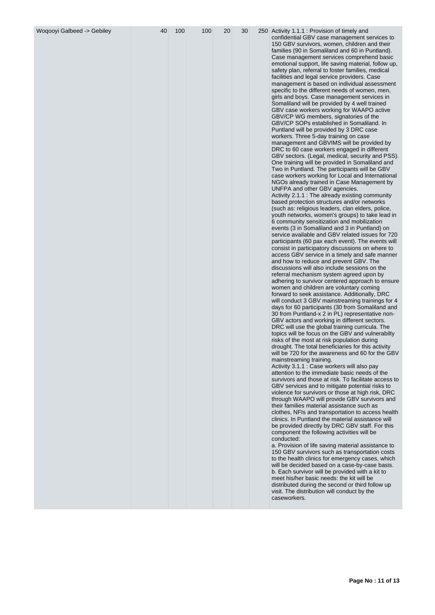| Woqooyi Galbeed -> Gebiley | 40 | 100 | 100 | 20 | 30 |  | 250 Activity 1.1.1 : Provision of timely and<br>confidential GBV case management services to<br>150 GBV survivors, women, children and their<br>families (90 in Somaliland and 60 in Puntland).<br>Case management services comprehend basic<br>emotional support, life saving material, follow up,<br>safety plan, referral to foster families, medical<br>facilities and legal service providers. Case<br>management is based on individual assessment<br>specific to the different needs of women, men,<br>girls and boys. Case management services in<br>Somaliland will be provided by 4 well trained<br>GBV case workers working for WAAPO active<br>GBV/CP WG members, signatories of the<br>GBV/CP SOPs established in Somaliland. In<br>Puntland will be provided by 3 DRC case<br>workers. Three 5-day training on case<br>management and GBVIMS will be provided by<br>DRC to 60 case workers engaged in different<br>GBV sectors. (Legal, medical, security and PSS).<br>One training will be provided in Somaliland and<br>Two in Puntland. The participants will be GBV<br>case workers working for Local and International<br>NGOs already trained in Case Management by<br>UNFPA and other GBV agencies.<br>Activity 2.1.1 : The already existing community<br>based protection structures and/or networks<br>(such as: religious leaders, clan elders, police,<br>youth networks, women's groups) to take lead in<br>6 community sensitization and mobilization<br>events (3 in Somaliland and 3 in Puntland) on<br>service available and GBV related issues for 720<br>participants (60 pax each event). The events will<br>consist in participatory discussions on where to<br>access GBV service in a timely and safe manner<br>and how to reduce and prevent GBV. The<br>discussions will also include sessions on the<br>referral mechanism system agreed upon by<br>adhering to survivor centered approach to ensure<br>women and children are voluntary coming<br>forward to seek assistance. Additionally, DRC<br>will conduct 3 GBV mainstreaming trainings for 4<br>days for 60 participants (30 from Somaliland and<br>30 from Puntland-x 2 in PL) representative non-<br>GBV actors and working in different sectors.<br>DRC will use the global training curricula. The<br>topics will be focus on the GBV and vulnerabilty<br>risks of the most at risk population during<br>drought. The total beneficiaries for this activity<br>will be 720 for the awareness and 60 for the GBV<br>mainstreaming training.<br>Activity 3.1.1 : Case workers will also pay<br>attention to the immediate basic needs of the<br>survivors and those at risk. To facilitate access to<br>GBV services and to mitigate potential risks to<br>violence for survivors or those at high risk, DRC<br>through WAAPO will provide GBV survivors and<br>their families material assistance such as<br>clothes, NFIs and transportation to access health<br>clinics. In Puntland the material assistance will<br>be provided directly by DRC GBV staff. For this<br>component the following activities will be<br>conducted:<br>a. Provision of life saving material assistance to<br>150 GBV survivors such as transportation costs<br>to the health clinics for emergency cases, which<br>will be decided based on a case-by-case basis.<br>b. Each survivor will be provided with a kit to<br>meet his/her basic needs: the kit will be<br>distributed during the second or third follow up<br>visit. The distribution will conduct by the<br>caseworkers. |
|----------------------------|----|-----|-----|----|----|--|-----------------------------------------------------------------------------------------------------------------------------------------------------------------------------------------------------------------------------------------------------------------------------------------------------------------------------------------------------------------------------------------------------------------------------------------------------------------------------------------------------------------------------------------------------------------------------------------------------------------------------------------------------------------------------------------------------------------------------------------------------------------------------------------------------------------------------------------------------------------------------------------------------------------------------------------------------------------------------------------------------------------------------------------------------------------------------------------------------------------------------------------------------------------------------------------------------------------------------------------------------------------------------------------------------------------------------------------------------------------------------------------------------------------------------------------------------------------------------------------------------------------------------------------------------------------------------------------------------------------------------------------------------------------------------------------------------------------------------------------------------------------------------------------------------------------------------------------------------------------------------------------------------------------------------------------------------------------------------------------------------------------------------------------------------------------------------------------------------------------------------------------------------------------------------------------------------------------------------------------------------------------------------------------------------------------------------------------------------------------------------------------------------------------------------------------------------------------------------------------------------------------------------------------------------------------------------------------------------------------------------------------------------------------------------------------------------------------------------------------------------------------------------------------------------------------------------------------------------------------------------------------------------------------------------------------------------------------------------------------------------------------------------------------------------------------------------------------------------------------------------------------------------------------------------------------------------------------------------------------------------------------------------------------------------------------------------------------------------------------------------------------------------------------------------------------------------------------------------------------------------------------------------------------------------------------------|
|----------------------------|----|-----|-----|----|----|--|-----------------------------------------------------------------------------------------------------------------------------------------------------------------------------------------------------------------------------------------------------------------------------------------------------------------------------------------------------------------------------------------------------------------------------------------------------------------------------------------------------------------------------------------------------------------------------------------------------------------------------------------------------------------------------------------------------------------------------------------------------------------------------------------------------------------------------------------------------------------------------------------------------------------------------------------------------------------------------------------------------------------------------------------------------------------------------------------------------------------------------------------------------------------------------------------------------------------------------------------------------------------------------------------------------------------------------------------------------------------------------------------------------------------------------------------------------------------------------------------------------------------------------------------------------------------------------------------------------------------------------------------------------------------------------------------------------------------------------------------------------------------------------------------------------------------------------------------------------------------------------------------------------------------------------------------------------------------------------------------------------------------------------------------------------------------------------------------------------------------------------------------------------------------------------------------------------------------------------------------------------------------------------------------------------------------------------------------------------------------------------------------------------------------------------------------------------------------------------------------------------------------------------------------------------------------------------------------------------------------------------------------------------------------------------------------------------------------------------------------------------------------------------------------------------------------------------------------------------------------------------------------------------------------------------------------------------------------------------------------------------------------------------------------------------------------------------------------------------------------------------------------------------------------------------------------------------------------------------------------------------------------------------------------------------------------------------------------------------------------------------------------------------------------------------------------------------------------------------------------------------------------------------------------------------------------------|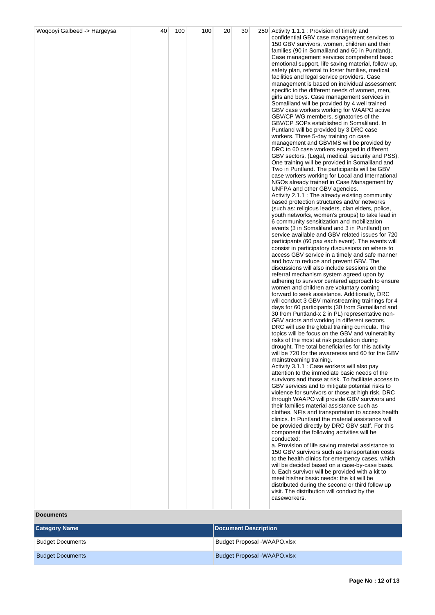| Woqooyi Galbeed -> Hargeysa | 40 | 100 | 100 | 20 | 30 | 250 Activity 1.1.1 : Provision of timely and                                                           |
|-----------------------------|----|-----|-----|----|----|--------------------------------------------------------------------------------------------------------|
|                             |    |     |     |    |    | confidential GBV case management services to<br>150 GBV survivors, women, children and their           |
|                             |    |     |     |    |    | families (90 in Somaliland and 60 in Puntland).                                                        |
|                             |    |     |     |    |    | Case management services comprehend basic                                                              |
|                             |    |     |     |    |    | emotional support, life saving material, follow up,                                                    |
|                             |    |     |     |    |    | safety plan, referral to foster families, medical<br>facilities and legal service providers. Case      |
|                             |    |     |     |    |    | management is based on individual assessment                                                           |
|                             |    |     |     |    |    | specific to the different needs of women, men,                                                         |
|                             |    |     |     |    |    | girls and boys. Case management services in                                                            |
|                             |    |     |     |    |    | Somaliland will be provided by 4 well trained                                                          |
|                             |    |     |     |    |    | GBV case workers working for WAAPO active<br>GBV/CP WG members, signatories of the                     |
|                             |    |     |     |    |    | GBV/CP SOPs established in Somaliland. In                                                              |
|                             |    |     |     |    |    | Puntland will be provided by 3 DRC case                                                                |
|                             |    |     |     |    |    | workers. Three 5-day training on case                                                                  |
|                             |    |     |     |    |    | management and GBVIMS will be provided by<br>DRC to 60 case workers engaged in different               |
|                             |    |     |     |    |    | GBV sectors. (Legal, medical, security and PSS).                                                       |
|                             |    |     |     |    |    | One training will be provided in Somaliland and                                                        |
|                             |    |     |     |    |    | Two in Puntland. The participants will be GBV                                                          |
|                             |    |     |     |    |    | case workers working for Local and International<br>NGOs already trained in Case Management by         |
|                             |    |     |     |    |    | UNFPA and other GBV agencies.                                                                          |
|                             |    |     |     |    |    | Activity 2.1.1 : The already existing community                                                        |
|                             |    |     |     |    |    | based protection structures and/or networks                                                            |
|                             |    |     |     |    |    | (such as: religious leaders, clan elders, police,<br>youth networks, women's groups) to take lead in   |
|                             |    |     |     |    |    | 6 community sensitization and mobilization                                                             |
|                             |    |     |     |    |    | events (3 in Somaliland and 3 in Puntland) on                                                          |
|                             |    |     |     |    |    | service available and GBV related issues for 720<br>participants (60 pax each event). The events will  |
|                             |    |     |     |    |    | consist in participatory discussions on where to                                                       |
|                             |    |     |     |    |    | access GBV service in a timely and safe manner                                                         |
|                             |    |     |     |    |    | and how to reduce and prevent GBV. The                                                                 |
|                             |    |     |     |    |    | discussions will also include sessions on the<br>referral mechanism system agreed upon by              |
|                             |    |     |     |    |    | adhering to survivor centered approach to ensure                                                       |
|                             |    |     |     |    |    | women and children are voluntary coming                                                                |
|                             |    |     |     |    |    | forward to seek assistance. Additionally, DRC<br>will conduct 3 GBV mainstreaming trainings for 4      |
|                             |    |     |     |    |    | days for 60 participants (30 from Somaliland and                                                       |
|                             |    |     |     |    |    | 30 from Puntland-x 2 in PL) representative non-                                                        |
|                             |    |     |     |    |    | GBV actors and working in different sectors.                                                           |
|                             |    |     |     |    |    | DRC will use the global training curricula. The<br>topics will be focus on the GBV and vulnerabilty    |
|                             |    |     |     |    |    | risks of the most at risk population during                                                            |
|                             |    |     |     |    |    | drought. The total beneficiaries for this activity                                                     |
|                             |    |     |     |    |    | will be 720 for the awareness and 60 for the GBV<br>mainstreaming training.                            |
|                             |    |     |     |    |    | Activity 3.1.1 : Case workers will also pay                                                            |
|                             |    |     |     |    |    | attention to the immediate basic needs of the                                                          |
|                             |    |     |     |    |    | survivors and those at risk. To facilitate access to                                                   |
|                             |    |     |     |    |    | GBV services and to mitigate potential risks to<br>violence for survivors or those at high risk, DRC   |
|                             |    |     |     |    |    | through WAAPO will provide GBV survivors and                                                           |
|                             |    |     |     |    |    | their families material assistance such as                                                             |
|                             |    |     |     |    |    | clothes, NFIs and transportation to access health<br>clinics. In Puntland the material assistance will |
|                             |    |     |     |    |    | be provided directly by DRC GBV staff. For this                                                        |
|                             |    |     |     |    |    | component the following activities will be                                                             |
|                             |    |     |     |    |    | conducted:                                                                                             |
|                             |    |     |     |    |    | a. Provision of life saving material assistance to<br>150 GBV survivors such as transportation costs   |
|                             |    |     |     |    |    | to the health clinics for emergency cases, which                                                       |
|                             |    |     |     |    |    | will be decided based on a case-by-case basis.                                                         |
|                             |    |     |     |    |    | b. Each survivor will be provided with a kit to                                                        |
|                             |    |     |     |    |    | meet his/her basic needs: the kit will be<br>distributed during the second or third follow up          |
|                             |    |     |     |    |    | visit. The distribution will conduct by the                                                            |
|                             |    |     |     |    |    | caseworkers.                                                                                           |
|                             |    |     |     |    |    |                                                                                                        |

**Documents**

| <b>Category Name</b>    | Document Description               |
|-------------------------|------------------------------------|
| <b>Budget Documents</b> | <b>Budget Proposal -WAAPO.xlsx</b> |
| <b>Budget Documents</b> | Budget Proposal -WAAPO.xlsx        |